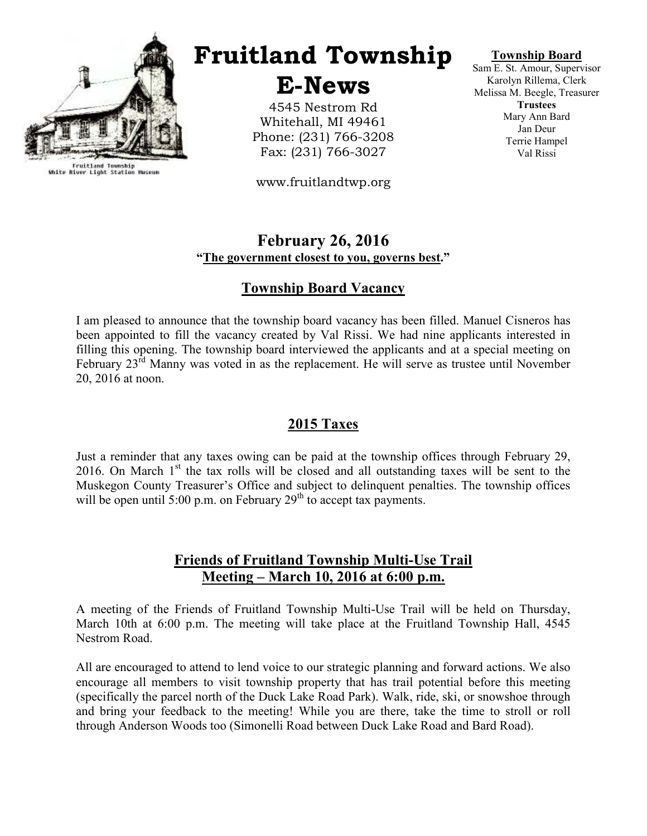

Fruitland Township<br>White River Light Station Museum

# Fruitland Township

E-News

4545 Nestrom Rd Whitehall, MI 49461 Phone: (231) 766-3208 Fax: (231) 766-3027

www.fruitlandtwp.org

#### Township Board

Sam E. St. Amour, Supervisor Karolyn Rillema, Clerk Melissa M. Beegle, Treasurer **Trustees** Mary Ann Bard Jan Deur Terrie Hampel Val Rissi

#### February 26, 2016 "The government closest to you, governs best."

# Township Board Vacancy

I am pleased to announce that the township board vacancy has been filled. Manuel Cisneros has been appointed to fill the vacancy created by Val Rissi. We had nine applicants interested in filling this opening. The township board interviewed the applicants and at a special meeting on February  $23<sup>rd</sup>$  Manny was voted in as the replacement. He will serve as trustee until November 20, 2016 at noon.

# 2015 Taxes

Just a reminder that any taxes owing can be paid at the township offices through February 29, 2016. On March  $1<sup>st</sup>$  the tax rolls will be closed and all outstanding taxes will be sent to the Muskegon County Treasurer's Office and subject to delinquent penalties. The township offices will be open until 5:00 p.m. on February  $29<sup>th</sup>$  to accept tax payments.

# Friends of Fruitland Township Multi-Use Trail Meeting – March 10, 2016 at 6:00 p.m.

A meeting of the Friends of Fruitland Township Multi-Use Trail will be held on Thursday, March 10th at 6:00 p.m. The meeting will take place at the Fruitland Township Hall, 4545 Nestrom Road.

All are encouraged to attend to lend voice to our strategic planning and forward actions. We also encourage all members to visit township property that has trail potential before this meeting (specifically the parcel north of the Duck Lake Road Park). Walk, ride, ski, or snowshoe through and bring your feedback to the meeting! While you are there, take the time to stroll or roll through Anderson Woods too (Simonelli Road between Duck Lake Road and Bard Road).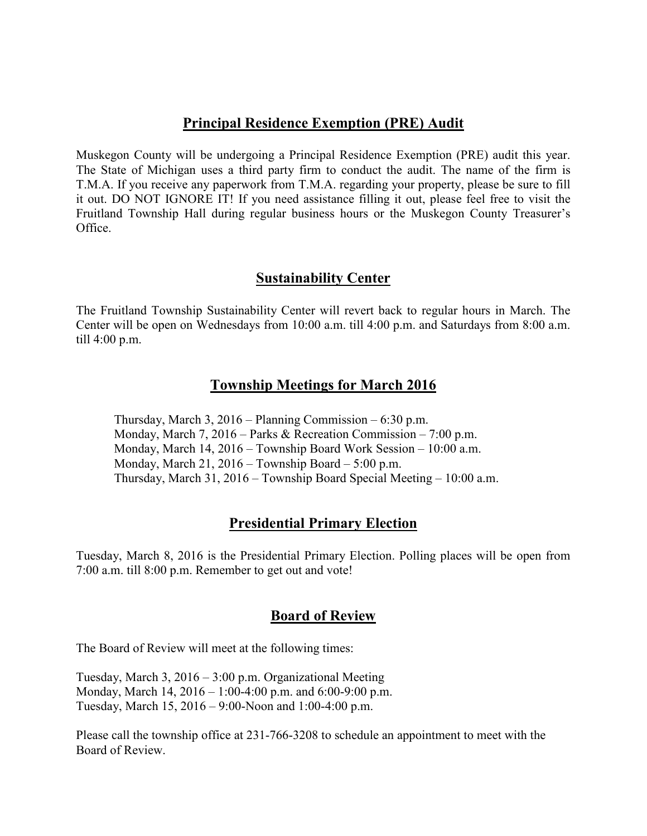#### Principal Residence Exemption (PRE) Audit

Muskegon County will be undergoing a Principal Residence Exemption (PRE) audit this year. The State of Michigan uses a third party firm to conduct the audit. The name of the firm is T.M.A. If you receive any paperwork from T.M.A. regarding your property, please be sure to fill it out. DO NOT IGNORE IT! If you need assistance filling it out, please feel free to visit the Fruitland Township Hall during regular business hours or the Muskegon County Treasurer's Office.

#### Sustainability Center

The Fruitland Township Sustainability Center will revert back to regular hours in March. The Center will be open on Wednesdays from 10:00 a.m. till 4:00 p.m. and Saturdays from 8:00 a.m. till 4:00 p.m.

### Township Meetings for March 2016

 Thursday, March 3, 2016 – Planning Commission – 6:30 p.m. Monday, March 7, 2016 – Parks & Recreation Commission – 7:00 p.m. Monday, March 14, 2016 – Township Board Work Session – 10:00 a.m. Monday, March 21, 2016 – Township Board – 5:00 p.m. Thursday, March 31, 2016 – Township Board Special Meeting – 10:00 a.m.

#### Presidential Primary Election

Tuesday, March 8, 2016 is the Presidential Primary Election. Polling places will be open from 7:00 a.m. till 8:00 p.m. Remember to get out and vote!

#### Board of Review

The Board of Review will meet at the following times:

Tuesday, March 3, 2016 – 3:00 p.m. Organizational Meeting Monday, March 14, 2016 – 1:00-4:00 p.m. and 6:00-9:00 p.m. Tuesday, March 15, 2016 – 9:00-Noon and 1:00-4:00 p.m.

Please call the township office at 231-766-3208 to schedule an appointment to meet with the Board of Review.